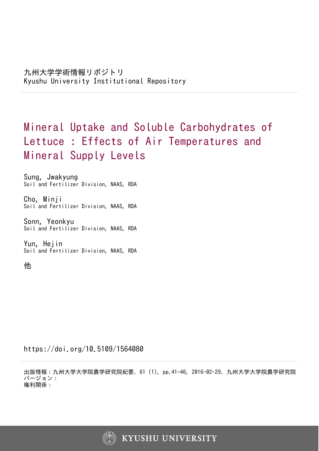# Mineral Uptake and Soluble Carbohydrates of Lettuce : Effects of Air Temperatures and Mineral Supply Levels

Sung, Jwakyung Soil and Fertilizer Division, NAAS, RDA

Cho, Minji Soil and Fertilizer Division, NAAS, RDA

Sonn, Yeonkyu Soil and Fertilizer Division, NAAS, RDA

Yun, Hejin Soil and Fertilizer Division, NAAS, RDA

他

https://doi.org/10.5109/1564080

出版情報:九州大学大学院農学研究院紀要. 61 (1), pp.41-46, 2016-02-29. 九州大学大学院農学研究院 バージョン: 権利関係:

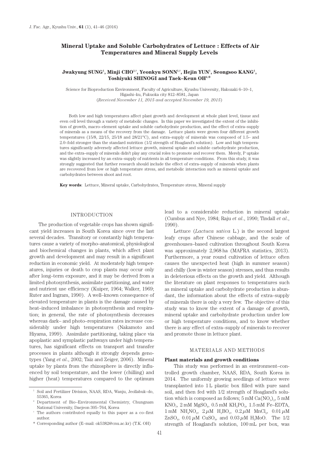# **Mineral Uptake and Soluble Carbohydrates of Lettuce : Effects of Air Temperatures and Mineral Supply Levels**

# $J$ wakyung SUNG<sup>1</sup>, Minji CHO<sup>1,†</sup>, Yeonkyu SONN<sup>1,†</sup>, Hejin YUN<sup>1</sup>, Seongsoo KANG<sup>1</sup>, **Yoshiyuki SHINOGI and Taek–Keun OH2,\***

Science for Bioproduction Environment, Faculty of Agriculture, Kyushu University, Hakozaki 6–10–1, Higashi–ku, Fukuoka city 812–8581, Japan (*Received November 11, 2015 and accepted November 19, 2015*)

Both low and high temperatures affect plant growth and development at whole plant level, tissue and even cell level through a variety of metabolic changes. In this paper we investigated the extent of the inhibition of growth, macro–element uptake and soluble carbohydrate production, and the effect of extra–supply of minerals as a means of the recovery from the damage. Lettuce plants were grown four different growth temperatures (15/8, 22/15, 25/18 and 28/21°C), and extra–supply of minerals was composed of 1.5– and 2.0–fold stronger than the standard nutrition (1/2 strength of Hoagland's solution). Low and high temperatures significantly adversely affected lettuce growth, mineral uptake and soluble carbohydrate production, and the extra–supply of minerals didn't play any crucial roles to promote and recover them. Merely, P uptake was slightly increased by an extra–supply of nutrients in all temperature conditions. From this study, it was strongly suggested that further research should include the effect of extra–supply of minerals when plants are recovered from low or high temperature stress, and metabolic interaction such as mineral uptake and carbohydrates between shoot and root.

**Key words**: Lettuce, Mineral uptake, Carbohydrates, Temperature stress, Mineral supply

### INTRODUCTION

The production of vegetable crops has shown significant yield increases in South Korea since over the last several decades. Transitory or constantly high temperatures cause a variety of morpho–anatomical, physiological and biochemical changes in plants, which affect plant growth and development and may result in a significant reduction in economic yield. At moderately high temperatures, injuries or death to crop plants may occur only after long–term exposure, and it may be derived from a limited photosynthesis, assimilate partitioning, and water and nutrient use efficiency (Kuiper, 1964; Walker, 1969; Ruter and Ingram, 1990). A well–known consequence of elevated temperature in plants is the damage caused by heat–induced imbalance in photosynthesis and respiration; in general, the rate of photosynthesis decreases whereas dark– and photo–respiration rates increase considerably under high temperatures (Nakamoto and Hiyama, 1999). Assimilate partitioning, taking place via apoplastic and symplastic pathways under high temperatures, has significant effects on transport and transfer processes in plants although it strongly depends genotypes (Yang *et al*., 2002; Taiz and Zeiger, 2006). Mineral uptake by plants from the rhizosphere is directly influenced by soil temperature, and the lower (chilling) and higher (heat) temperatures compared to the optimum

\* Corresponding author (E–mail: ok5382@cnu.ac.kr) (T.K. OH)

lead to a considerable reduction in mineral uptake (Cumbus and Nye, 1984; Raju *et al*., 1990; Tindall *et al*., 1990).

Lettuce (*Lactuca sativa* L.) is the second largest leafy crops after Chinese cabbage, and the scale of greenhouses–based cultivation throughout South Korea was approximately 2,968 ha (MAFRA statistics, 2013). Furthermore, a year round cultivation of lettuce often causes the unexpected heat (high in summer season) and chilly (low in winter season) stresses, and thus results in deleterious effects on the growth and yield. Although the literature on plant responses to temperatures such as mineral uptake and carbohydrate production is abundant, the information about the effects of extra–supply of minerals there is only a very few. The objective of this study was to know the extent of a damage of growth, mineral uptake and carbohydrate production under low or high temperature conditions, and to know whether there is any effect of extra–supply of minerals to recover and promote those in lettuce plant.

#### MATERIALS AND METHODS

### **Plant materials and growth conditions**

This study was performed in an environment–controlled growth chamber, NAAS, RDA, South Korea in 2014. The uniformly growing seedlings of lettuce were transplanted into 1 L plastic box filled with pure sand soil, and then fed with 1/2 strength of Hoagland's solution which is composed as follows;  $5 \text{ mM } Ca(NO_2)_2$ ,  $5 \text{ mM }$  $KNO<sub>3</sub>$ , 2 mM  $MgSO<sub>4</sub>$ , 0.5 mM  $KH<sub>2</sub>PO<sub>4</sub>$ , 1.5 mM Fe–EDTA, 1 mM NH<sub>4</sub>NO<sub>3</sub>, 2 μM H<sub>3</sub>BO<sub>3</sub>, 0.2 μM MnCl<sub>2</sub>, 0.01 μM  $ZnSO_4$ , 0.01  $\mu$ M CuSO<sub>4</sub>, and 0.03  $\mu$ M H<sub>2</sub>MoO. The 1/2 strength of Hoagland's solution, 100 mL per box, was

<sup>1</sup> Soil and Fertilizer Division, NAAS, RDA, Wanju, Jeollabuk–do, 55365, Korea

<sup>2</sup> Department of Bio–Environmental Chemistry, Chungnam National University, Daejeon 305–764, Korea

<sup>†</sup> The authors contributed equally to this paper as a co–first author.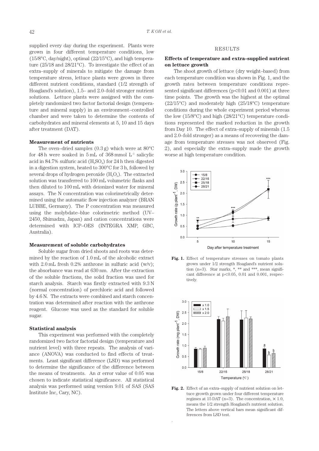supplied every day during the experiment. Plants were grown in four different temperature conditions, low (15/8°C, day/night), optimal (22/15°C), and high temperature (25/18 and 28/21°C). To investigate the effect of an extra–supply of minerals to mitigate the damage from temperature stress, lettuce plants were grown in three different nutrient conditions, standard (1/2 strength of Hoagland's solution), 1.5– and 2.0–fold stronger nutrient solutions. Lettuce plants were assigned with the completely randomized two factor factorial design (temperature and mineral supply) in an environment–controlled chamber and were taken to determine the contents of carbohydrates and mineral elements at 5, 10 and 15 days after treatment (DAT).

### **Measurement of nutrients**

The oven–dried samples  $(0.3 \text{ g})$  which were at  $80^{\circ}$ C for 48 h were soaked in 5 mL of  $368 \text{ mmol L}^{-1}$  salicylic acid in 84.7% sulfuric acid  $(H_2SO_4)$  for 24 h then digested in a digestion system, heated to 300°C for 3 h, followed by several drops of hydrogen peroxide  $(H<sub>2</sub>O<sub>2</sub>)$ . The extracted solution was transferred to 100 mL volumetric flasks and then diluted to 100 mL with deionized water for mineral assays. The N concentration was colorimetrically determined using the automatic flow injection analyzer (BRAN LUBBE, Germany). The P concentration was measured using the molybdate–blue colorimetric method (UV– 2450, Shimadzu, Japan) and cation concentrations were determined with ICP–OES (INTEGRA XMP, GBC, Australia).

## **Measurement of soluble carbohydrates**

Soluble sugar from dried shoots and roots was determined by the reaction of 1.0 mL of the alcoholic extract with  $2.0 \text{ mL}$  fresh  $0.2\%$  anthrone in sulfuric acid (w/v); the absorbance was read at 630 nm. After the extraction of the soluble fractions, the solid fraction was used for starch analysis. Starch was firstly extracted with 9.3 N (normal concentration) of perchloric acid and followed by 4.6 N. The extracts were combined and starch concentration was determined after reaction with the anthrone reagent. Glucose was used as the standard for soluble sugar.

## **Statistical analysis**

This experiment was performed with the completely randomized two factor factorial design (temperature and nutrient level) with three repeats. The analysis of variance (ANOVA) was conducted to find effects of treatments. Least significant difference (LSD) was performed to determine the significance of the difference between the means of treatments. An  $\alpha$  error value of 0.05 was chosen to indicate statistical significance. All statistical analysis was performed using version 9.01 of SAS (SAS Institute Inc, Cary, NC).

# RESULTS

# **Effects of temperature and extra–supplied nutrient on lettuce growth**

The shoot growth of lettuce (dry weight–based) from each temperature condition was shown in Fig. 1, and the growth rates between temperature conditions represented significant differences ( $p<0.01$  and  $0.001$ ) at three time points. The growth was the highest at the optimal (22/15°C) and moderately high (25/18°C) temperature conditions during the whole experiment period whereas the low (15/8°C) and high (28/21°C) temperature conditions represented the marked reduction in the growth from Day 10. The effect of extra–supply of minerals (1.5 and 2.0–fold stronger) as a means of recovering the damage from temperature stresses was not observed (Fig. 2), and especially the extra–supply made the growth worse at high temperature condition.







**Fig. 2.** Effect of an extra–supply of nutrient solution on lettuce growth grown under four different temperature regimes at 15 DAT (n=3). The concentration,  $\times$  1.0, means the 1/2 strength Hoagland's nutrient solution. The letters above vertical bars mean significant differences from LSD test.

.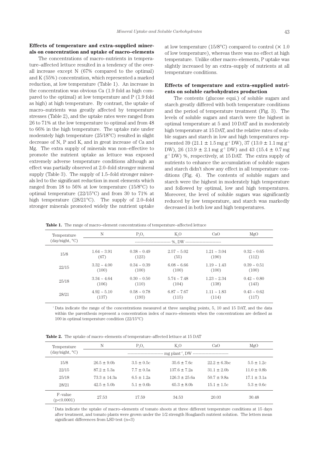# **Effects of temperature and extra–supplied minerals on concentration and uptake of macro–elements**

The concentrations of macro–nutrients in temperature–affected lettuce resulted in a tendency of the overall increase except N (67% compared to the optimal) and K (55%) concentration, which represented a marked reduction, at low temperature (Table 1). An increase in the concentration was obvious Ca (1.9 fold as high compared to the optimal) at low temperature and P (1.9 fold as high) at high temperature. By contrast, the uptake of macro–nutrients was greatly affected by temperature stresses (Table 2), and the uptake rates were ranged from 26 to 71% at the low temperature to optimal and from 48 to 66% in the high temperature. The uptake rate under moderately high temperature (25/18°C) resulted in slight decrease of N, P and K, and in great increase of Ca and Mg. The extra supply of minerals was non–effective to promote the nutrient uptake as lettuce was exposed extremely adverse temperature conditions although an effect was partially observed at 2.0–fold stronger mineral supply (Table 3). The supply of 1.5–fold stronger minerals led to the significant reduction in most elements which ranged from 18 to 56% at low temperature (15/8°C) to optimal temperature (22/15°C) and from 30 to 71% at high temperature (28/21°C). The supply of 2.0–fold stronger minerals promoted widely the nutrient uptake

at low temperature (15/8 $^{\circ}$ C) compared to control ( $\times$  1.0 of low temperature), whereas there was no effect at high temperature. Unlike other macro–elements, P uptake was slightly increased by an extra–supply of nutrients at all temperature conditions.

# **Effects of temperature and extra–supplied nutrients on soluble carbohydrates production**

The contents (glucose equi.) of soluble sugars and starch greatly differed with both temperature conditions and the period of temperature treatment (Fig. 3). The levels of soluble sugars and starch were the highest in optimal temperature at 5 and 10 DAT and in moderately high temperature at 15 DAT, and the relative rates of soluble sugars and starch in low and high temperatures represented 39 (21.1  $\pm$  1.5 mg g<sup>-1</sup> DW), 37 (13.0  $\pm$  1.1 mg g<sup>-1</sup> DW), 26 (13.9  $\pm$  2.1 mg g<sup>-1</sup> DW) and 43 (15.4  $\pm$  0.7 mg  $g^{-1}$  DW) %, respectively, at 15 DAT. The extra supply of nutrients to enhance the accumulation of soluble sugars and starch didn't show any effect in all temperature conditions (Fig. 4). The contents of soluble sugars and starch were the highest in moderately high temperature and followed by optimal, low and high temperatures. Moreover, the level of soluble sugars was significantly reduced by low temperature, and starch was markedly decreased in both low and high temperatures.

**Table 1.** The range of macro–element concentrations of temperature–affected lettuce

| Temperature<br>(day/night, °C) | N                                  | $P_2O_5$         | $K_0O$           | CaO                 | MgO              |  |
|--------------------------------|------------------------------------|------------------|------------------|---------------------|------------------|--|
|                                | -- %. DW ------------------------- |                  |                  |                     |                  |  |
| 15/8                           | $1.64 \sim 3.91$                   | $0.38 \sim 0.49$ | $2.57 - 5.02$    | $1.21 - 3.04$       | $0.32 \sim 0.65$ |  |
|                                | (67)                               | (123)            | (55)             | (190)               | (112)            |  |
| 22/15                          | $3.32 \sim 4.00$                   | $0.34 \sim 0.39$ | $6.08 - 6.66$    | $1.19 \sim 1.43$    | $0.39 \sim 0.51$ |  |
|                                | (100)                              | (100)            | (100)            | (100)               | (100)            |  |
| 25/18                          | $3.34 \sim 4.64$                   | $0.30 \sim 0.50$ | $5.74 \sim 7.48$ | $1.23 - 2.34$       | $0.42 \sim 0.80$ |  |
|                                | (106)                              | (110)            | (104)            | (138)               | (143)            |  |
| 28/21                          | $4.92 \approx 5.10$                | $0.58 \sim 0.78$ | $6.87 - 7.67$    | $1.11 \approx 1.83$ | $0.43 \sim 0.62$ |  |
|                                | (137)                              | (193)            | (115)            | (114)               | (117)            |  |
|                                |                                    |                  |                  |                     |                  |  |

† Data indicate the range of the concentrations measured at three sampling points, 5, 10 and 15 DAT, and the data within the parenthesis represent a concentration index of macro–elements when the concentrations are defined as 100 in optimal temperature condition (22/15°C)

**Table 2.** The uptake of macro–elements of temperature–affected lettuce at 15 DAT

| Temperature<br>(day/night, °C) | N                    | $P_2O_5$       | K,O              | CaO               | MgO              |  |  |
|--------------------------------|----------------------|----------------|------------------|-------------------|------------------|--|--|
|                                | -------------------- |                |                  |                   |                  |  |  |
| 15/8                           | $26.5 \pm 9.0$ b     | $3.5 \pm 0.5c$ | $35.6 \pm 7.6c$  | $22.2 \pm 6.3$ bc | $5.5 \pm 1.2c$   |  |  |
| 22/15                          | $87.2 \pm 5.3a$      | $7.7 \pm 0.5a$ | $137.6 \pm 7.2a$ | $31.1 \pm 2.0$    | $11.0 \pm 0.8$ b |  |  |
| 25/18                          | $73.3 \pm 14.3a$     | $6.5 \pm 1.2a$ | $126.3 + 25.6a$  | $50.7 \pm 9.8a$   | $17.1 \pm 3.1a$  |  |  |
| 28/21                          | $42.5 \pm 5.0$ h     | $5.1 \pm 0.6$  | $65.3 \pm 8.0$   | $15.1 \pm 1.5c$   | $5.3 \pm 0.6c$   |  |  |
| F-value<br>(p<0.0001)          | 27.53                | 17.59          | 34.53            | 20.03             | 30.48            |  |  |

 $\,^{\dagger}$  Data indicate the uptake of macro–elements of tomato shoots at three different temperature conditions at 15 days after treatment, and tomato plants were grown under the 1/2 strength Hoagland's nutrient solution. The letters mean significant differences from LSD test (n=3)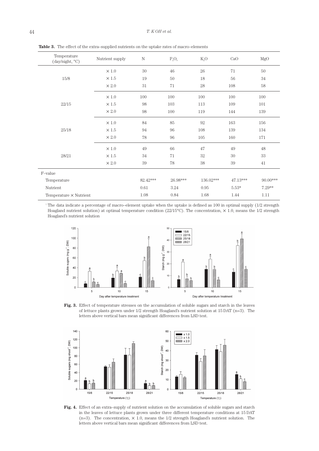| Temperature<br>(day/night, °C) | Nutrient supply | $\rm N$  | $P_2O_5$ | $K_2O$    | CaO      | MgO      |
|--------------------------------|-----------------|----------|----------|-----------|----------|----------|
|                                | $\times 1.0$    | 30       | 46       | 26        | 71       | 50       |
| 15/8                           | $\times$ 1.5    | 19       | 50       | 18        | 56       | 34       |
|                                | $\times 2.0$    | 31       | 71       | 28        | 108      | $58\,$   |
|                                | $\times 1.0$    | 100      | 100      | 100       | 100      | 100      |
| 22/15                          | $\times$ 1.5    | 98       | 103      | 113       | 109      | 101      |
|                                | $\times 2.0$    | 98       | 100      | 119       | 144      | 139      |
|                                | $\times$ 1.0    | 84       | 85       | 92        | 163      | 156      |
| 25/18                          | $\times 1.5$    | 94       | 96       | 108       | 139      | 134      |
|                                | $\times 2.0$    | 78       | $96\,$   | 105       | 160      | 171      |
|                                | $\times 1.0$    | 49       | 66       | 47        | 49       | 48       |
| 28/21                          | $\times 1.5$    | 34       | 71       | 32        | 30       | 33       |
|                                | $\times\,2.0$   | 39       | 78       | 38        | 39       | 41       |
| F-value                        |                 |          |          |           |          |          |
| Temperature                    |                 | 82.42*** | 26.98*** | 136.02*** | 47.13*** | 90.00*** |
| Nutrient                       |                 | 0.61     | 3.24     | 0.95      | $5.53*$  | $7.29**$ |
| Temperature $\times$ Nutrient  |                 | 1.08     | $0.84\,$ | 1.68      | 1.44     | 1.11     |

Table 3. The effect of the extra–supplied nutrients on the uptake rates of macro–elements

† The data indicate a percentage of macro–element uptake when the uptake is defined as 100 in optimal supply (1/2 strength Hoagland nutrient solution) at optimal temperature condition (22/15°C). The concentration,  $\times$  1.0, means the 1/2 strength Hoagland's nutrient solution



**Fig. 3.** Effect of temperature stresses on the accumulation of soluble sugars and starch in the leaves of lettuce plants grown under 1/2 strength Hoagland's nutrient solution at 15 DAT (n=3). The letters above vertical bars mean significant differences from LSD test.



Fig. 4. Effect of an extra–supply of nutrient solution on the accumulation of soluble sugars and starch in the leaves of lettuce plants grown under three different temperature conditions at 15 DAT (n=3). The concentration,  $\times$  1.0, means the 1/2 strength Hoagland's nutrient solution. The letters above vertical bars mean significant differences from LSD test.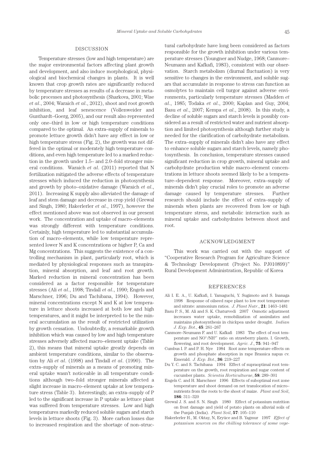# DISCUSSION

Temperature stresses (low and high temperature) are the major environmental factors affecting plant growth and development, and also induce morphological, physiological and biochemical changes in plants. It is well known that crop growth rates are significantly reduced by temperature stresses as results of a decrease in metabolic processes and photosynthesis (Sharkova, 2001; Wise *et al*., 2004; Waraich *et al*., 2012), shoot and root growth inhibition, and leaf senescence (Vollenweider and Gunthardt–Goerg, 2005), and our result also represented only one–third in low or high temperature conditions compared to the optimal. An extra–supply of minerals to promote lettuce growth didn't have any effect in low or high temperature stress (Fig. 2), the growth was not differed in the optimal or moderately high temperature conditions, and even high temperature led to a marked reduction in the growth under 1.5– and 2.0–fold stronger mineral conditions. Waraich *et al*. (2011) reported that N fertilization mitigated the adverse effects of temperature stresses which induced the reduction in photosynthesis and growth by photo–oxidative damage (Waraich *et al*., 2011). Increasing K supply also alleviated the damage of leaf and stem damage and decrease in crop yield (Grewal and Singh, 1980; Hakerlerler *et al*., 1997), however the effect mentioned above was not observed in our present work. The concentration and uptake of macro–elements was strongly different with temperature conditions. Certainly, high temperature led to substantial accumulation of macro–elements, while low temperature represented lower N and K concentrations or higher P, Ca and Mg concentrations. This suggests the existence of a controlling mechanism in plant, particularly root, which is mediated by physiological responses such as transpiration, mineral absorption, and leaf and root growth. Marked reduction in mineral concentration has been considered as a factor responsible for temperature stresses (Ali *et al*., 1998; Tindall *et al*., 1990; Engels and Marschner, 1996; Du and Tachibana, 1994). However, mineral concentrations except N and K at low temperature in lettuce shoots increased at both low and high temperatures, and it might be interpreted to be the mineral accumulation as the result of restricted utilization by growth cessation. Undoubtedly, a remarkable growth inhibition which was caused by low and high temperature stresses adversely affected macro–element uptake (Table 2), this means that mineral uptake greatly depends on ambient temperature conditions, similar to the observation by Ali *et al*. (1998) and Tindall *et al*. (1990). The extra–supply of minerals as a means of promoting mineral uptake wasn't noticeable in all temperature conditions although two–fold stronger minerals affected a slight increase in macro–element uptake at low temperature stress (Table 3). Interestingly, an extra–supply of P led to the significant increase in P uptake as lettuce plant was suffered from temperature stresses. Low and high temperatures markedly reduced soluble sugars and starch levels in lettuce shoots (Fig. 3). More carbon losses due to increased respiration and the shortage of non–structural carbohydrate have long been considered as factors responsible for the growth inhibition under various temperature stresses (Youngner and Nudge, 1968; Canmore– Neumann and Kafkafi, 1983), consistent with our observation. Starch metabolism (diurnal fluctuation) is very sensitive to changes in the environment, and soluble sugars that accumulate in response to stress can function as osmolytes to maintain cell turgor against adverse environments, particularly temperature stresses (Madden *et al*., 1985; Todaka *et al*., 2000; Kaplan and Guy, 2004; Basu *et al*., 2007; Kempa *et al*., 2008). In this study, a decline of soluble sugars and starch levels is possibly considered as a result of restricted water and nutrient absorption and limited photosynthesis although further study is needed for the clarification of carbohydrate metabolism. The extra–supply of minerals didn't also have any effect to enhance soluble sugars and starch levels, namely photosynthesis. In conclusion, temperature stresses caused significant reduction in crop growth, mineral uptake and carbohydrate production while macro–element concentrations in lettuce shoots seemed likely to be a temperature–dependent response. Moreover, extra–supply of minerals didn't play crucial roles to promote an adverse damage caused by temperature stresses. Further research should include the effect of extra–supply of minerals when plants are recovered from low or high temperature stress, and metabolic interaction such as mineral uptake and carbohydrates between shoot and root.

#### ACKNOWLEDGMENT

This work was carried out with the support of "Cooperative Research Program for Agriculture Science & Technology Development (Project No. PJ010899)" Rural Development Administration, Republic of Korea

### REFERENCES

- Ali I. E. A., U. Kafkafi, I. Yamaguchi, Y. Sugimoto and S. Inanaga 1998 Response of oilseed rape plant to low root temperature and nitrate: ammonium ratios. *J. Plant Nutr*., **21**: 1463–1481
- Basu P. S., M. Ali and S. K. Chaturvedi 2007 Osmotic adjustment increases water uptake, remobilization of assimilates and maintains photosynthesis in chickpea under drought. *Indian J. Exp. Bot*., **45**: 261–267
- Canmore–Neumann F. and U. Kafkafi 1983 The effect of root temperature and NO<sup>3-</sup>/NH<sup>4+</sup> ratio on strawberry plants. I. Growth, flowering, and root development. *Agric. J*., **75**: 941–947
- Cumbus I. P. and P. H. Nye 1984 Root zone temperature effects on growth and phosphate absorption in rape Brassica napus cv. Emerald. *J. Exp. Bot*., **36**: 219–227
- Du Y. C. and S. Tachibana 1994 Effect of supraoptimal root temperature on the growth, root respiration and sugar content of cucumber plants. *Scientia Horticulturae*, **58**: 289–301
- Engels C. and H. Marschner 1996 Effects of suboptimal root zone temperature and shoot demand on net translocation of micro– nutrients from the roots to the shoot of maize. *Plant and Soil*, **186**: 311–320
- Grewal J. S. and S. N. Singh 1980 Effect of potassium nutrition on frost damage and yield of potato plants on alluvial soils of the Punjab (India). *Plant Soil*, **57**: 105–110
- Hakerlerler H., M. Oktay, N, Eryüce and B. Yagmur 1997 *Effect of potassium sources on the chilling tolerance of some vege-*